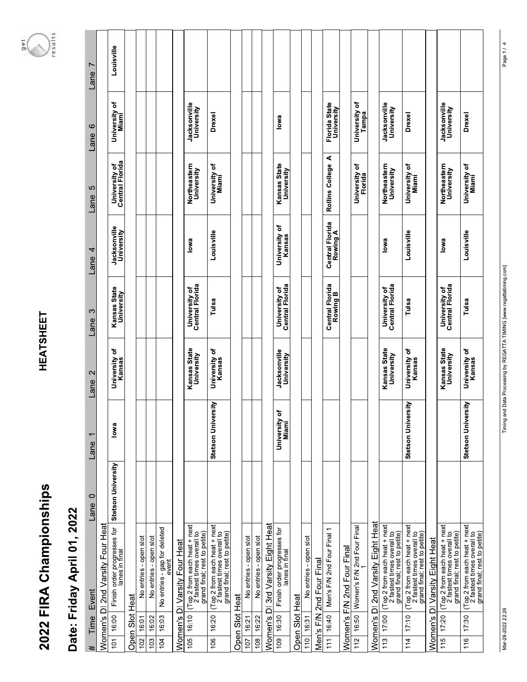## **HEATSHEET**

## results  $9e$ t  $\mathbb{Z}$

|                   |                | Date: Friday April 01, 2022                                                                |                    |                          |                            |                                  |                                    |                                  |                                    |                        |
|-------------------|----------------|--------------------------------------------------------------------------------------------|--------------------|--------------------------|----------------------------|----------------------------------|------------------------------------|----------------------------------|------------------------------------|------------------------|
| #                 | Time           | Event                                                                                      | $\circ$<br>Lane    | $\overline{ }$<br>Lane   | 2<br>Lane                  | S<br>Lane                        | 4<br>Lane                          | 5<br>Lane                        | $\circ$<br>Lane                    | $\overline{ }$<br>Lane |
|                   | Women's        | DI 2nd Varsity Four Heat                                                                   |                    |                          |                            |                                  |                                    |                                  |                                    |                        |
| $\overline{101}$  | 16:00          | Finish order progresses for<br>lanes in final                                              | Stetson University | lowa                     | University of<br>Kansas    | Kansas State<br>University       | Jacksonville<br>University         | University of<br>Central Florida | University of<br>Miami             | Louisville             |
| Open              | Slot           | Heat                                                                                       |                    |                          |                            |                                  |                                    |                                  |                                    |                        |
| 102               | 16:01          | No entries - open slot                                                                     |                    |                          |                            |                                  |                                    |                                  |                                    |                        |
| 103               | 16:02          | No entries - open slot                                                                     |                    |                          |                            |                                  |                                    |                                  |                                    |                        |
| 104               | 16:03          | No entries - gap for deleted<br>event                                                      |                    |                          |                            |                                  |                                    |                                  |                                    |                        |
|                   |                | Women's DI Varsity Four Heat                                                               |                    |                          |                            |                                  |                                    |                                  |                                    |                        |
| 105               | 16:10          | (Top 2 from each heat + next<br>2 fastest times overall to<br>grand final; rest to petite) |                    |                          | Kansas State<br>University | University of<br>Central Florida | lowa                               | Northeastern<br>University       | Jacksonville<br>University         |                        |
| 106               | 16:20          | (Top 2 from each heat + next<br>2 fastest times overall to<br>grand final; rest to petite) |                    | Stetson University       | University of<br>Kansas    | Tulsa                            | Louisville                         | University of<br>Miami           | <b>Drexel</b>                      |                        |
| Open <sup>3</sup> |                | Slot Heat                                                                                  |                    |                          |                            |                                  |                                    |                                  |                                    |                        |
| 107               | 16:21          | No entries - open slot                                                                     |                    |                          |                            |                                  |                                    |                                  |                                    |                        |
| 108               | 16:22          | No entries - open slot                                                                     |                    |                          |                            |                                  |                                    |                                  |                                    |                        |
|                   |                | Women's DI 3rd Varsity Eight Heat                                                          |                    |                          |                            |                                  |                                    |                                  |                                    |                        |
| 109               | 16:30          | Finish order progresses for<br>lanes in final                                              |                    | ৳<br>University<br>Miami | Jacksonville<br>University | University of<br>Central Florida | University of<br>Kansas            | Kansas State<br>University       | lowa                               |                        |
|                   | Open Slot Heat |                                                                                            |                    |                          |                            |                                  |                                    |                                  |                                    |                        |
| 110               | 16:31          | No entries - open slot                                                                     |                    |                          |                            |                                  |                                    |                                  |                                    |                        |
|                   | Men's F/N      | 2nd Four Final                                                                             |                    |                          |                            |                                  |                                    |                                  |                                    |                        |
| 111               | 16:40          | Men's F/N 2nd Four Final 1                                                                 |                    |                          |                            | Central Florida<br>Rowing B      | <b>Central Florida</b><br>Rowing A | ⋖<br>Rollins College             | <b>Florida State</b><br>University |                        |
|                   | Women's F/N    | 2nd Four Final                                                                             |                    |                          |                            |                                  |                                    |                                  |                                    |                        |
| 112               | 16:50          | Women's F/N 2nd Four Final                                                                 |                    |                          |                            |                                  |                                    | University of<br>Florida         | University of<br>Tampa             |                        |
|                   | Women's        | 2nd Varsity Eight Heat<br>$\overline{\Omega}$                                              |                    |                          |                            |                                  |                                    |                                  |                                    |                        |
| 113               | 17:00          | (Top 2 from each heat + next<br>2 fastest times overall to<br>grand final; rest to petite) |                    |                          | Kansas State<br>University | University of<br>Central Florida | lowa                               | Northeastern<br>University       | Jacksonville<br>University         |                        |
| 114               | 17:10          | (Top 2 from each heat + next<br>2 fastest times overall to<br>grand final; rest to petite) |                    | Stetson University       | University of<br>Kansas    | Tulsa                            | Louisville                         | University of<br>Miami           | Drexel                             |                        |
|                   |                | Women's DI Varsity Eight Heat                                                              |                    |                          |                            |                                  |                                    |                                  |                                    |                        |
| 115               | 17:20          | (Top 2 from each heat + next<br>2 fastest times overall to<br>grand final; rest to petite) |                    |                          | Kansas State<br>University | University of<br>Central Florida | lowa                               | Northeastern<br>University       | <b>Jacksonville</b><br>University  |                        |
| 116               | 17:30          | (Top 2 from each heat + next<br>2 fastest times overall to<br>grand final; rest to petite) |                    | Stetson University       | University of<br>Kansas    | Tulsa                            | Louisville                         | University of<br>Miami           | Drexel                             |                        |

Page 1 / 4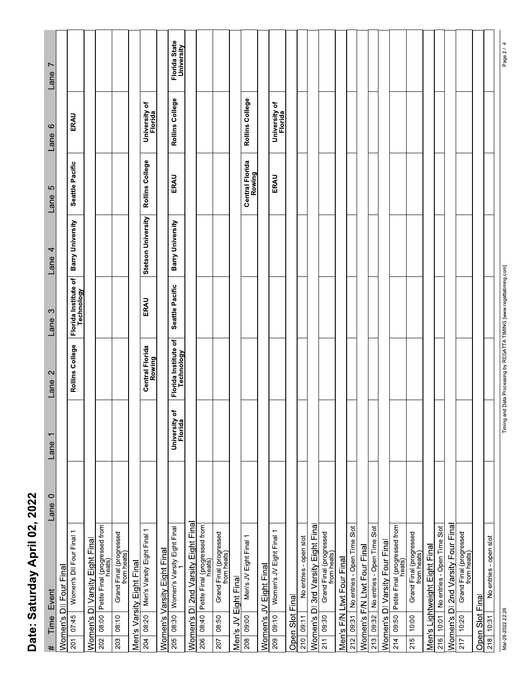| ï<br>z          |
|-----------------|
| ζ<br>$\epsilon$ |
| ı<br>ı<br>ī     |
| $\vdots$        |
| ī               |
|                 |

| Lane 0<br>Time Event<br>#                                            | Lane 1                   | Lane <sub>2</sub>                  | Lane 3                                 | Lane $4$           | Lane 5                    | Lane 6                   | Lane 7                      |
|----------------------------------------------------------------------|--------------------------|------------------------------------|----------------------------------------|--------------------|---------------------------|--------------------------|-----------------------------|
| Women's DII Four Final                                               |                          |                                    |                                        |                    |                           |                          |                             |
| Women's DII Four Final 1<br>07:45<br>201                             |                          | Rollins College                    | Florida Institute of<br>Technology     | Barry University   | Seattle Pacific           | ERAU                     |                             |
| Women's DI Varsity Eight Final                                       |                          |                                    |                                        |                    |                           |                          |                             |
| 08:00 Petite Final (progressed from<br>202                           |                          |                                    |                                        |                    |                           |                          |                             |
| Grand Final (progressed<br>from heats)<br>08:10<br>203               |                          |                                    |                                        |                    |                           |                          |                             |
| Men's Varsity Eight Final                                            |                          |                                    |                                        |                    |                           |                          |                             |
| Men's Varsity Eight Final 1<br>  08:20  <br>204                      |                          | Central Florida<br>Rowing          | ERAU                                   | Stetson University | Rollins College           | University of<br>Florida |                             |
| Women's Varsity Eight Final                                          |                          |                                    |                                        |                    |                           |                          |                             |
| 08:30 Women's Varsity Eight Final<br>205                             | University of<br>Florida | Florida Institute of<br>Technology | Seattle Pacific                        | Barry University   | ERAU                      | Rollins College          | Florida State<br>University |
| Women's DI 2nd Varsity Eight Final                                   |                          |                                    |                                        |                    |                           |                          |                             |
| 08:40 Petite Final (progressed from<br>206                           |                          |                                    |                                        |                    |                           |                          |                             |
| Grand Final (progressed<br>from heats)<br>08:50<br>207               |                          |                                    |                                        |                    |                           |                          |                             |
| Men's JV Eight Final                                                 |                          |                                    |                                        |                    |                           |                          |                             |
| Men's JV Eight Final 1<br>09:00<br>208                               |                          |                                    |                                        |                    | Central Florida<br>Rowing | Rollins College          |                             |
| Women's JV Eight Final                                               |                          |                                    |                                        |                    |                           |                          |                             |
| Women's JV Eight Final 1<br>209 09:10                                |                          |                                    |                                        |                    | ERAU                      | University of<br>Florida |                             |
| Open Slot Final                                                      |                          |                                    |                                        |                    |                           |                          |                             |
| No entries - open slot<br>210   09:11                                |                          |                                    |                                        |                    |                           |                          |                             |
| Women's DI 3rd Varsity Eight Final                                   |                          |                                    |                                        |                    |                           |                          |                             |
| Grand Final (progressed<br>from heats)<br>09:30<br>211               |                          |                                    |                                        |                    |                           |                          |                             |
| Men's F/N Ltwt Four Final                                            |                          |                                    |                                        |                    |                           |                          |                             |
| 212 09:31 No entries - Open Time Slot<br>Women's F/N Ltwt Four Final |                          |                                    |                                        |                    |                           |                          |                             |
| 213 09:32 No entries - Open Time Slot                                |                          |                                    |                                        |                    |                           |                          |                             |
| Women's DI Varsity Four Final                                        |                          |                                    |                                        |                    |                           |                          |                             |
| 214 09:50 Petite Final (progressed from                              |                          |                                    |                                        |                    |                           |                          |                             |
| Grand Final (progressed<br>from heats)<br>10:00<br>215               |                          |                                    |                                        |                    |                           |                          |                             |
| Men's Lightweight Eight Final                                        |                          |                                    |                                        |                    |                           |                          |                             |
| 10:01 No entries - Open Time Slot<br>216                             |                          |                                    |                                        |                    |                           |                          |                             |
| Women's DI 2nd Varsity Four Final<br>10:20<br>217                    |                          |                                    |                                        |                    |                           |                          |                             |
| Grand Final (progressed<br>from heats)                               |                          |                                    |                                        |                    |                           |                          |                             |
| Open Slot Final                                                      |                          |                                    |                                        |                    |                           |                          |                             |
| No entries - open slot<br>$218$ 10:31                                |                          |                                    |                                        |                    |                           |                          |                             |
| Mar-29-2022 22:26                                                    |                          | Timing and Data Processing by      | REGATTA TIMING [www.regattatiming.com] |                    |                           |                          | Page 2/                     |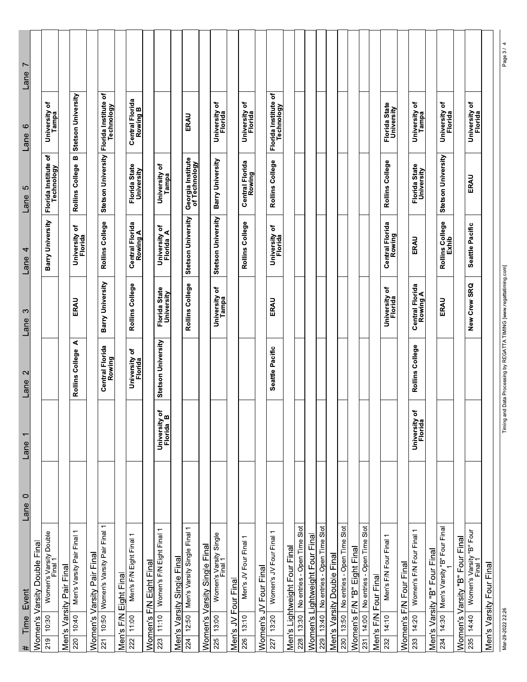| Event<br>Time<br>#                                                  | $\circ$<br>Lane | $\overline{ }$<br>Lane         | $\mathbf{\Omega}$<br>Lane | S<br>Lane                   | 4<br>Lane                   | 5<br>Lane                          | $\circ$<br>Lane                      | L<br>Lane |
|---------------------------------------------------------------------|-----------------|--------------------------------|---------------------------|-----------------------------|-----------------------------|------------------------------------|--------------------------------------|-----------|
| Women's Varsity Double Final                                        |                 |                                |                           |                             |                             |                                    |                                      |           |
| Women's Varsity Double<br>Final 1<br>10:30<br>219                   |                 |                                |                           |                             | Barry University            | Florida Institute of<br>Technology | University of<br>Tampa               |           |
| Men's Varsity Pair Final                                            |                 |                                |                           |                             |                             |                                    |                                      |           |
| Men's Varsity Pair Final 1<br>10:40<br>220                          |                 |                                | ⋖<br>Rollins College      | ERAU                        | ৳<br>University<br>Florida  | m<br>Rollins College               | Stetson University                   |           |
| Women's Varsity Pair Final                                          |                 |                                |                           |                             |                             |                                    |                                      |           |
| $\overline{ }$<br>10:50 Women's Varsity Pair Final<br>$\frac{1}{2}$ |                 |                                | Central Florida<br>Rowing | Barry University            | Rollins College             | Stetson University                 | ٥<br>Florida Institute<br>Technology |           |
| Eight Final<br>Men's F/N                                            |                 |                                |                           |                             |                             |                                    |                                      |           |
| $\overline{ }$<br>Men's F/N Eight Final<br>11:00<br>222             |                 |                                | University of<br>Florida  | Rollins College             | Central Florida<br>Rowing A | Florida State<br>University        | Central Florida<br>Rowing B          |           |
| Women's F/N Eight Final                                             |                 |                                |                           |                             |                             |                                    |                                      |           |
| Women's F/N Eight Final 1<br>11:10<br>223                           |                 | ৳<br>University c<br>Florida B | Stetson University        | Florida State<br>University | University of<br>Florida A  | University of<br>Tampa             |                                      |           |
| Men's Varsity Single Final                                          |                 |                                |                           |                             |                             |                                    |                                      |           |
| $\overline{ }$<br>Men's Varsity Single Final<br>12:50<br>224        |                 |                                |                           | Rollins College             | Stetson University          | Georgia Institute<br>of Technology | ERAU                                 |           |
| Women's Varsity Single Final                                        |                 |                                |                           |                             |                             |                                    |                                      |           |
| Women's Varsity Single<br>Final 1<br>13:00<br>225                   |                 |                                |                           | đ<br>University<br>Tampa    | Stetson University          | Barry University                   | ৳<br>University<br>Florida           |           |
| Men's JV Four Final                                                 |                 |                                |                           |                             |                             |                                    |                                      |           |
| Men's JV Four Final 1<br>13:10<br>226                               |                 |                                |                           |                             | Rollins College             | <b>Central Florida</b><br>Rowing   | University of<br>Florida             |           |
| JV Four Final<br>Women's                                            |                 |                                |                           |                             |                             |                                    |                                      |           |
| Women's JV Four Final 1<br>13:20<br>227                             |                 |                                | Seattle Pacific           | ERAU                        | ō<br>University<br>Florida  | Rollins College                    | Florida Institute of<br>Technology   |           |
| Men's Lightweight Four Final                                        |                 |                                |                           |                             |                             |                                    |                                      |           |
| No entries - Open Time Slot<br>13:30<br>228                         |                 |                                |                           |                             |                             |                                    |                                      |           |
| Women's Lightweight Four Final                                      |                 |                                |                           |                             |                             |                                    |                                      |           |
| No entries - Open Time Slot<br>13:40<br>29                          |                 |                                |                           |                             |                             |                                    |                                      |           |
| Men's Varsity Double Final                                          |                 |                                |                           |                             |                             |                                    |                                      |           |
| Slot<br>No entries - Open Time<br>13:50<br>230                      |                 |                                |                           |                             |                             |                                    |                                      |           |
| Women's F/N "B" Eight Final                                         |                 |                                |                           |                             |                             |                                    |                                      |           |
| 14:00 No entries - Open Time Slot<br>231                            |                 |                                |                           |                             |                             |                                    |                                      |           |
| Men's F/N Four Final                                                |                 |                                |                           |                             |                             |                                    |                                      |           |
| Men's F/N Four Final 1<br>14:10<br>232                              |                 |                                |                           | University of<br>Florida    | Central Florida<br>Rowing   | Rollins College                    | Florida State<br>University          |           |
| Women's F/N Four Final                                              |                 |                                |                           |                             |                             |                                    |                                      |           |
| Women's F/N Four Final 1<br>14:20<br>233                            |                 | ٥f<br>University<br>Florida    | Rollins College           | Central Florida<br>Rowing A | ERAU                        | Florida State<br>University        | University of<br>Tampa               |           |
| Men's Varsity "B" Four Final                                        |                 |                                |                           |                             |                             |                                    |                                      |           |
| Men's Varsity "B" Four Final<br>14:30<br>234                        |                 |                                |                           | ERAU                        | Rollins College<br>Exhib    | Stetson University                 | University of<br>Florida             |           |
| Women's Varsity "B" Four Final                                      |                 |                                |                           |                             |                             |                                    |                                      |           |
| Women's Varsity "B" Four<br>Final 1<br>14:40<br>235                 |                 |                                |                           | New Crew SRQ                | Seattle Pacific             | ERAU                               | University of<br>Florida             |           |
| Men's Varsity Four Final                                            |                 |                                |                           |                             |                             |                                    |                                      |           |

Timing and Data Processing by REGATTA TIMING [www.regattatiming.com]

Page 3 / 4